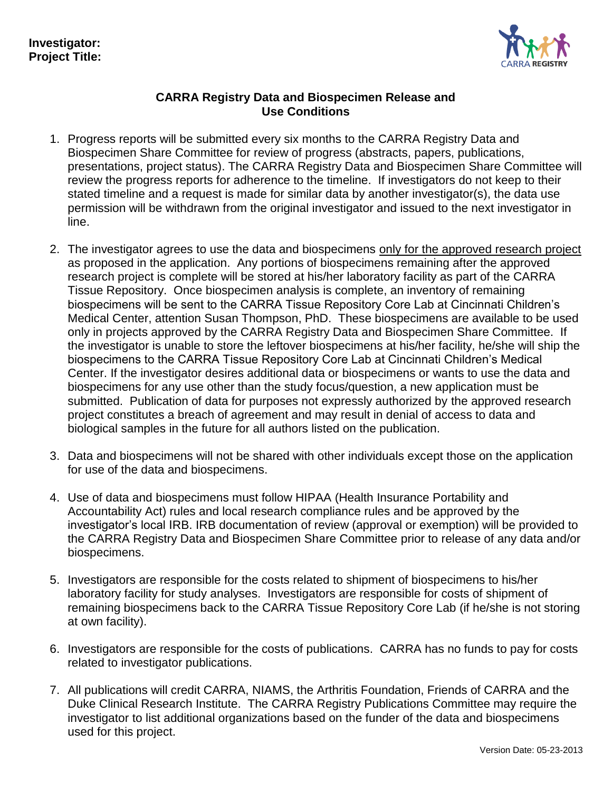

## **CARRA Registry Data and Biospecimen Release and Use Conditions**

- 1. Progress reports will be submitted every six months to the CARRA Registry Data and Biospecimen Share Committee for review of progress (abstracts, papers, publications, presentations, project status). The CARRA Registry Data and Biospecimen Share Committee will review the progress reports for adherence to the timeline. If investigators do not keep to their stated timeline and a request is made for similar data by another investigator(s), the data use permission will be withdrawn from the original investigator and issued to the next investigator in line.
- 2. The investigator agrees to use the data and biospecimens only for the approved research project as proposed in the application. Any portions of biospecimens remaining after the approved research project is complete will be stored at his/her laboratory facility as part of the CARRA Tissue Repository. Once biospecimen analysis is complete, an inventory of remaining biospecimens will be sent to the CARRA Tissue Repository Core Lab at Cincinnati Children's Medical Center, attention Susan Thompson, PhD. These biospecimens are available to be used only in projects approved by the CARRA Registry Data and Biospecimen Share Committee. If the investigator is unable to store the leftover biospecimens at his/her facility, he/she will ship the biospecimens to the CARRA Tissue Repository Core Lab at Cincinnati Children's Medical Center. If the investigator desires additional data or biospecimens or wants to use the data and biospecimens for any use other than the study focus/question, a new application must be submitted. Publication of data for purposes not expressly authorized by the approved research project constitutes a breach of agreement and may result in denial of access to data and biological samples in the future for all authors listed on the publication.
- 3. Data and biospecimens will not be shared with other individuals except those on the application for use of the data and biospecimens.
- 4. Use of data and biospecimens must follow HIPAA (Health Insurance Portability and Accountability Act) rules and local research compliance rules and be approved by the investigator's local IRB. IRB documentation of review (approval or exemption) will be provided to the CARRA Registry Data and Biospecimen Share Committee prior to release of any data and/or biospecimens.
- 5. Investigators are responsible for the costs related to shipment of biospecimens to his/her laboratory facility for study analyses. Investigators are responsible for costs of shipment of remaining biospecimens back to the CARRA Tissue Repository Core Lab (if he/she is not storing at own facility).
- 6. Investigators are responsible for the costs of publications. CARRA has no funds to pay for costs related to investigator publications.
- 7. All publications will credit CARRA, NIAMS, the Arthritis Foundation, Friends of CARRA and the Duke Clinical Research Institute. The CARRA Registry Publications Committee may require the investigator to list additional organizations based on the funder of the data and biospecimens used for this project.